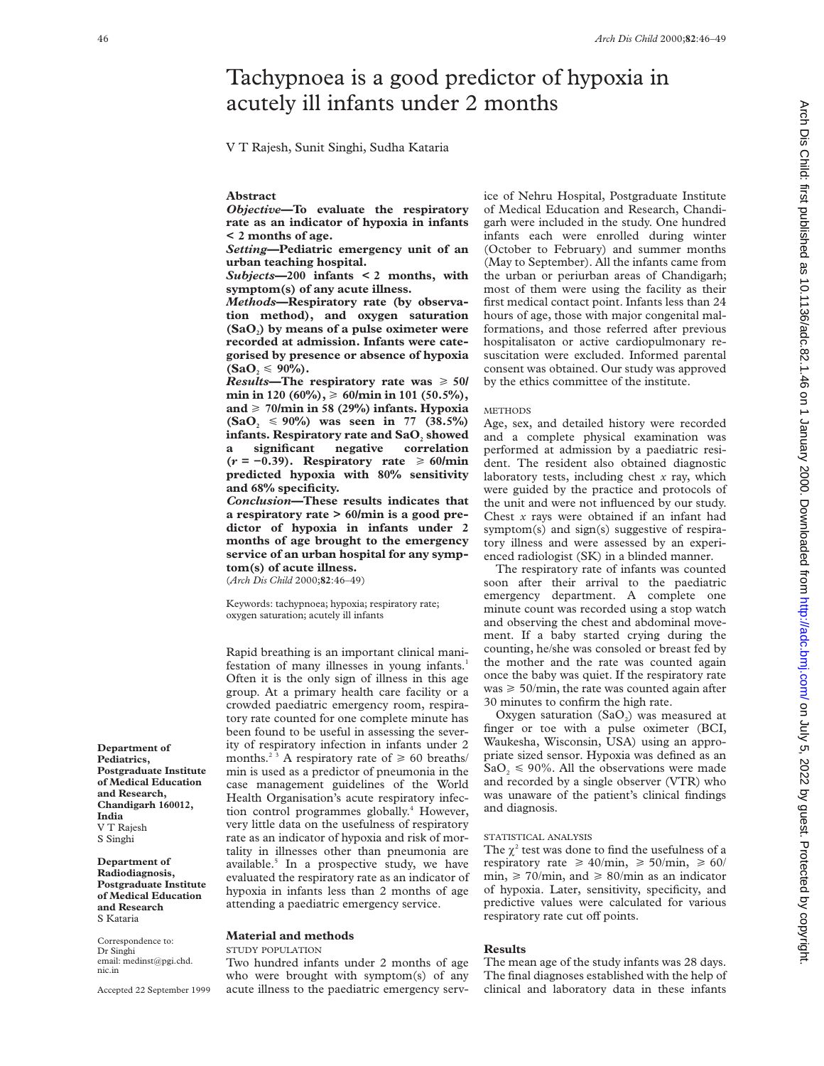# Tachypnoea is a good predictor of hypoxia in acutely ill infants under 2 months

V T Rajesh, Sunit Singhi, Sudha Kataria

#### **Abstract**

*Objective***—To evaluate the respiratory rate as an indicator of hypoxia in infants < 2 months of age.**

*Setting***—Pediatric emergency unit of an urban teaching hospital.**

*Subjects***—200 infants < 2 months, with symptom(s) of any acute illness.**

*Methods***—Respiratory rate (by observation method), and oxygen saturation** (SaO<sub>2</sub>) by means of a pulse oximeter were **recorded at admission. Infants were categorised by presence or absence of hypoxia**  $({\bf SaO}, \leq 90\%)$ .

*Results*—The respiratory rate was  $\geq 50/$ **min in 120 (60%),** > **60/min in 101 (50.5%),** and  $\geq 70$ /min in 58 (29%) infants. Hypoxia  $(SaO<sub>2</sub> \le 90\%)$  was seen in 77 (38.5%) **infants. Respiratory rate and SaO<sub>2</sub> showed**<br>a significant negative correlation **a significant negative correlation (***r* **= −0.39). Respiratory rate** > **60/min predicted hypoxia with 80% sensitivity and 68% specificity.**

*Conclusion***—These results indicates that a respiratory rate > 60/min is a good predictor of hypoxia in infants under 2 months of age brought to the emergency service of an urban hospital for any symptom(s) of acute illness.**

(*Arch Dis Child* 2000;**82**:46–49)

Keywords: tachypnoea; hypoxia; respiratory rate; oxygen saturation; acutely ill infants

Rapid breathing is an important clinical manifestation of many illnesses in young infants.<sup>1</sup> Often it is the only sign of illness in this age group. At a primary health care facility or a crowded paediatric emergency room, respiratory rate counted for one complete minute has been found to be useful in assessing the severity of respiratory infection in infants under 2 months.<sup>2 3</sup> A respiratory rate of  $\geq 60$  breaths/ min is used as a predictor of pneumonia in the case management guidelines of the World Health Organisation's acute respiratory infection control programmes globally.<sup>4</sup> However, very little data on the usefulness of respiratory rate as an indicator of hypoxia and risk of mortality in illnesses other than pneumonia are available.<sup>5</sup> In a prospective study, we have evaluated the respiratory rate as an indicator of hypoxia in infants less than 2 months of age attending a paediatric emergency service.

# **Material and methods**

## STUDY POPULATION

Two hundred infants under 2 months of age who were brought with symptom(s) of any acute illness to the paediatric emergency service of Nehru Hospital, Postgraduate Institute of Medical Education and Research, Chandigarh were included in the study. One hundred infants each were enrolled during winter (October to February) and summer months (May to September). All the infants came from the urban or periurban areas of Chandigarh; most of them were using the facility as their first medical contact point. Infants less than 24 hours of age, those with major congenital malformations, and those referred after previous hospitalisaton or active cardiopulmonary resuscitation were excluded. Informed parental consent was obtained. Our study was approved by the ethics committee of the institute.

#### **METHODS**

Age, sex, and detailed history were recorded and a complete physical examination was performed at admission by a paediatric resident. The resident also obtained diagnostic laboratory tests, including chest *x* ray, which were guided by the practice and protocols of the unit and were not influenced by our study. Chest *x* rays were obtained if an infant had symptom(s) and sign(s) suggestive of respiratory illness and were assessed by an experienced radiologist (SK) in a blinded manner.

The respiratory rate of infants was counted soon after their arrival to the paediatric emergency department. A complete one minute count was recorded using a stop watch and observing the chest and abdominal movement. If a baby started crying during the counting, he/she was consoled or breast fed by the mother and the rate was counted again once the baby was quiet. If the respiratory rate was  $\geq 50$ /min, the rate was counted again after 30 minutes to confirm the high rate.

Oxygen saturation  $(SaO<sub>2</sub>)$  was measured at finger or toe with a pulse oximeter (BCI, Waukesha, Wisconsin, USA) using an appropriate sized sensor. Hypoxia was defined as an  $SaO<sub>2</sub> \le 90\%$ . All the observations were made and recorded by a single observer (VTR) who was unaware of the patient's clinical findings and diagnosis.

#### STATISTICAL ANALYSIS

The  $\chi^2$  test was done to find the usefulness of a respiratory rate  $\geq 40$ /min,  $\geq 50$ /min,  $\geq 60$ / min,  $\geq 70$ /min, and  $\geq 80$ /min as an indicator of hypoxia. Later, sensitivity, specificity, and predictive values were calculated for various respiratory rate cut off points.

#### **Results**

The mean age of the study infants was 28 days. The final diagnoses established with the help of clinical and laboratory data in these infants

Arch Dis Child: first published as 10.1136/adc.82.1.46 on 1 January 2000. Downloaded from http://adc.bmj.com/ on July 5, 2022 by guest. Protected by copyright Arch Dis Child: first published as 10.115 by guest. Protect as 1.1136/add.82.1.46 on 10.2021 by guest. Protected by guest. Protected by guest. Protected by guest. Protected by guest. Protected by guest. Protected by guest.

**Department of Pediatrics,**

**Department of Radiodiagnosis, Postgraduate Institute of Medical Education and Research** S Kataria

Correspondence to: Dr Singhi

email: medinst@pgi.chd.

Accepted 22 September 1999

**India** V T Rajesh S Singhi

nic.in

**Postgraduate Institute of Medical Education and Research, Chandigarh 160012,**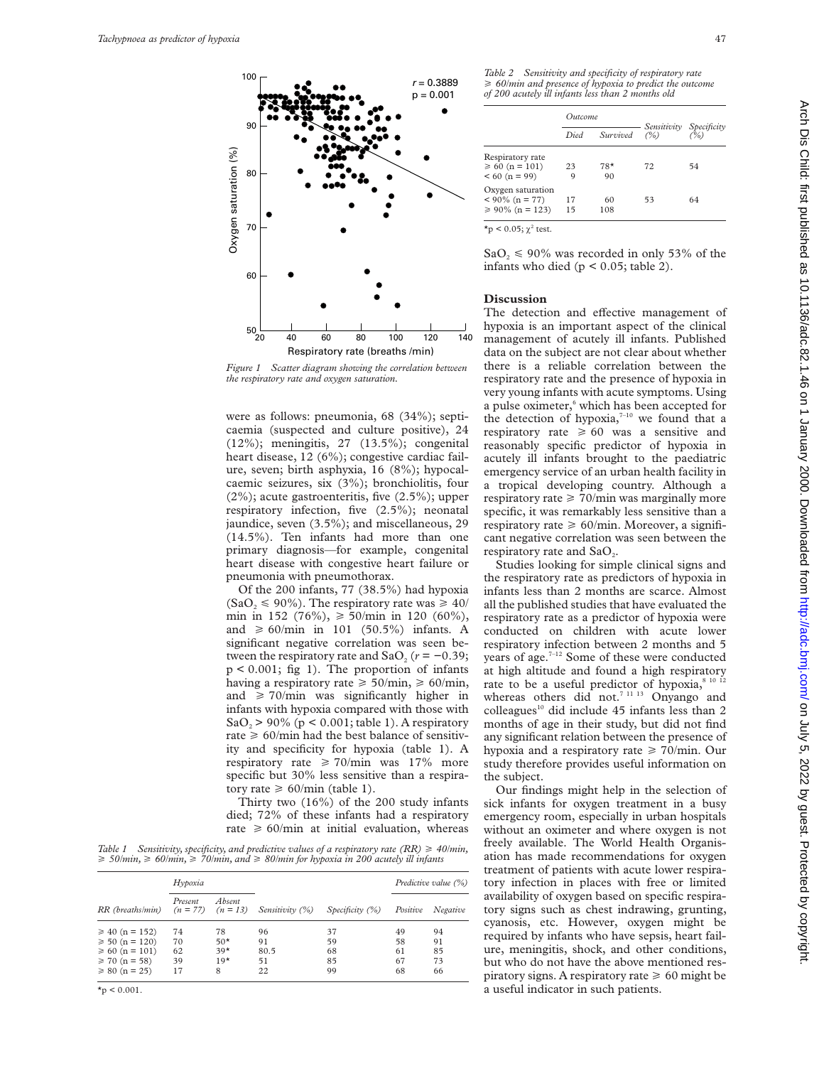

*Figure 1 Scatter diagram showing the correlation between the respiratory rate and oxygen saturation.*

were as follows: pneumonia, 68 (34%); septicaemia (suspected and culture positive), 24 (12%); meningitis, 27 (13.5%); congenital heart disease, 12 (6%); congestive cardiac failure, seven; birth asphyxia, 16 (8%); hypocalcaemic seizures, six (3%); bronchiolitis, four (2%); acute gastroenteritis, five (2.5%); upper respiratory infection, five (2.5%); neonatal jaundice, seven (3.5%); and miscellaneous, 29 (14.5%). Ten infants had more than one primary diagnosis—for example, congenital heart disease with congestive heart failure or pneumonia with pneumothorax.

Of the 200 infants, 77 (38.5%) had hypoxia  $(SaO<sub>2</sub> \le 90\%)$ . The respiratory rate was  $\ge 40/$ min in 152 (76%),  $\geq 50$ /min in 120 (60%), and  $\geq 60$ /min in 101 (50.5%) infants. A significant negative correlation was seen between the respiratory rate and  $SaO<sub>2</sub>$  ( $r = -0.39$ ;  $p < 0.001$ ; fig 1). The proportion of infants having a respiratory rate  $\geq 50/\text{min}$ ,  $\geq 60/\text{min}$ , and  $\geq 70$ /min was significantly higher in infants with hypoxia compared with those with SaO<sub>2</sub> > 90% (p < 0.001; table 1). A respiratory rate  $\geq 60$ /min had the best balance of sensitivity and specificity for hypoxia (table 1). A respiratory rate  $\geq 70$ /min was 17% more specific but 30% less sensitive than a respiratory rate  $\geq 60$ /min (table 1).

Thirty two (16%) of the 200 study infants died; 72% of these infants had a respiratory rate  $\geq 60$ /min at initial evaluation, whereas

*Table 1 Sensitivity, specificity, and predictive values of a respiratory rate (RR)* > *40/min,* > *50/min,* > *60/min,* > *70/min, and* > *80/min for hypoxia in 200 acutely ill infants*

| RR (breaths/min)    | Hypoxia |                                 |                 |                    | Predictive value (%) |          |
|---------------------|---------|---------------------------------|-----------------|--------------------|----------------------|----------|
|                     | Present | Absent<br>$(n = 77)$ $(n = 13)$ | Sensitivity (%) | Specificity $(\%)$ | Positive             | Negative |
| $\geq 40$ (n = 152) | 74      | 78                              | 96              | 37                 | 49                   | 94       |
| $\geq 50$ (n = 120) | 70      | $50*$                           | 91              | 59                 | 58                   | 91       |
| $\geq 60$ (n = 101) | 62      | $39*$                           | 80.5            | 68                 | 61                   | 85       |
| $\geq 70$ (n = 58)  | 39      | $19*$                           | 51              | 85                 | 67                   | 73       |
| $\geq 80$ (n = 25)  | 17      | 8                               | 22              | 99                 | 68                   | 66       |

*Table 2 Sensitivity and specificity of respiratory rate* > *60/min and presence of hypoxia to predict the outcome*

|                                            | Outcome  |           | Sensitivity |                    |
|--------------------------------------------|----------|-----------|-------------|--------------------|
|                                            | Died     | Survived  | $($ %)      | Specificity<br>(%) |
| Respiratory rate<br>$\geq 60$ (n = 101)    | 23       | $78*$     | 72          | 54                 |
| $< 60 (n = 99)$<br>Oxygen saturation       | 9        | 90        |             |                    |
| $< 90\%$ (n = 77)<br>$\geq 90\%$ (n = 123) | 17<br>15 | 60<br>108 | 53          | 64                 |

*of 200 acutely ill infants less than 2 months old*

 $^\star \! {\rm p} < 0.05; \chi^{\rm 2}$  test.

 $SaO<sub>2</sub> \le 90\%$  was recorded in only 53% of the infants who died ( $p < 0.05$ ; table 2).

## **Discussion**

The detection and effective management of hypoxia is an important aspect of the clinical management of acutely ill infants. Published data on the subject are not clear about whether there is a reliable correlation between the respiratory rate and the presence of hypoxia in very young infants with acute symptoms. Using a pulse oximeter,<sup>6</sup> which has been accepted for the detection of hypoxia, $7-10$  we found that a respiratory rate  $\geq 60$  was a sensitive and reasonably specific predictor of hypoxia in acutely ill infants brought to the paediatric emergency service of an urban health facility in a tropical developing country. Although a respiratory rate  $\geq 70$ /min was marginally more specific, it was remarkably less sensitive than a respiratory rate  $\geq 60$ /min. Moreover, a significant negative correlation was seen between the respiratory rate and SaO<sub>2</sub>.

Studies looking for simple clinical signs and the respiratory rate as predictors of hypoxia in infants less than 2 months are scarce. Almost all the published studies that have evaluated the respiratory rate as a predictor of hypoxia were conducted on children with acute lower respiratory infection between 2 months and 5 years of age.7–12 Some of these were conducted at high altitude and found a high respiratory rate to be a useful predictor of hypoxia,<sup>8 10 12</sup> whereas others did not.<sup>7 11 13</sup> Onyango and colleagues<sup>10</sup> did include 45 infants less than 2 months of age in their study, but did not find any significant relation between the presence of hypoxia and a respiratory rate  $\geq 70$ /min. Our study therefore provides useful information on the subject.

Our findings might help in the selection of sick infants for oxygen treatment in a busy emergency room, especially in urban hospitals without an oximeter and where oxygen is not freely available. The World Health Organisation has made recommendations for oxygen treatment of patients with acute lower respiratory infection in places with free or limited availability of oxygen based on specific respiratory signs such as chest indrawing, grunting, cyanosis, etc. However, oxygen might be required by infants who have sepsis, heart failure, meningitis, shock, and other conditions, but who do not have the above mentioned respiratory signs. A respiratory rate  $\geq 60$  might be a useful indicator in such patients.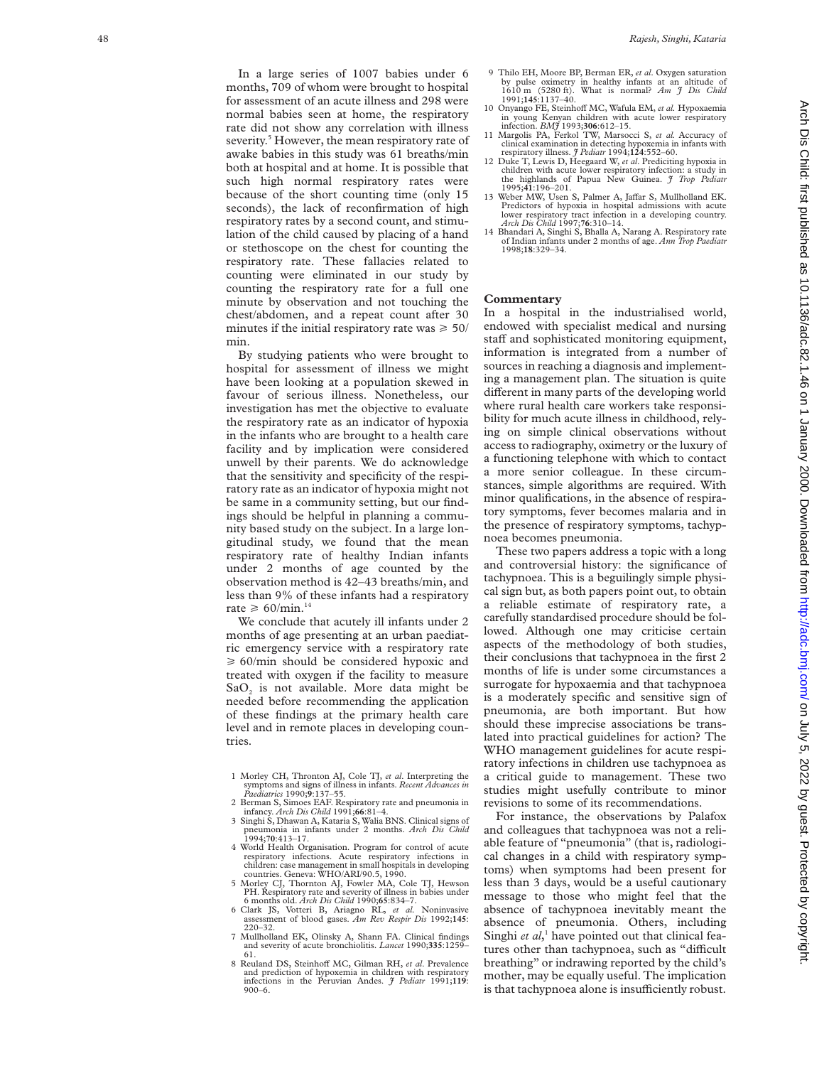In a large series of 1007 babies under 6 months, 709 of whom were brought to hospital for assessment of an acute illness and 298 were normal babies seen at home, the respiratory rate did not show any correlation with illness severity. <sup>5</sup> However, the mean respiratory rate of awake babies in this study was 61 breaths/min both at hospital and at home. It is possible that such high normal respiratory rates were because of the short counting time (only 15 seconds), the lack of reconfirmation of high respiratory rates by a second count, and stimulation of the child caused by placing of a hand or stethoscope on the chest for counting the respiratory rate. These fallacies related to counting were eliminated in our study by counting the respiratory rate for a full one minute by observation and not touching the chest/abdomen, and a repeat count after 30 minutes if the initial respiratory rate was  $\geq 50/$ min.

By studying patients who were brought to hospital for assessment of illness we might have been looking at a population skewed in favour of serious illness. Nonetheless, our investigation has met the objective to evaluate the respiratory rate as an indicator of hypoxia in the infants who are brought to a health care facility and by implication were considered unwell by their parents. We do acknowledge that the sensitivity and specificity of the respiratory rate as an indicator of hypoxia might not be same in a community setting, but our findings should be helpful in planning a community based study on the subject. In a large longitudinal study, we found that the mean respiratory rate of healthy Indian infants under 2 months of age counted by the observation method is 42–43 breaths/min, and less than 9% of these infants had a respiratory rate  $\geq 60$ /min.<sup>14</sup>

We conclude that acutely ill infants under 2 months of age presenting at an urban paediatric emergency service with a respiratory rate  $\geq 60$ /min should be considered hypoxic and treated with oxygen if the facility to measure SaO <sup>2</sup> is not available. More data might be needed before recommending the application of these findings at the primary health care level and in remote places in developing countries.

- 1 Morley CH, Thronton AJ, Cole TJ, *et al*. Interpreting the symptoms and signs of illness in infants. *Recent Advances in Paediatrics* 1990; **9**:137–55.
- 2 Berman S, Simoes EAF. Respiratory rate and pneumonia in infancy. *Arch Dis Child* 1991;**66**:81–4.
- 3 Singhi S, Dhawan A, Kataria S, Walia BNS. Clinical signs of pneumonia in infants under 2 months. *Arch Dis Child* 1994;**70**:413–17.
- 4 World Health Organisation. Program for control of acute respiratory infections. Acute respiratory infections in children: case management in small hospitals in developing countries. Geneva: WHO/ARI/90.5, 1990.
- 5 Morley CJ, Thornton AJ, Fowler MA, Cole TJ, Hewson PH. Respiratory rate and severity of illness in babies under 6 months old. *Arch Dis Child* 1990;**65**:834–7.
- 6 Clark JS, Votteri B, Ariagno RL, *et al.* Noninvasive assessment of blood gases. *Am Rev Respir Dis* 1992;**145** : 220–32.
- 7 Mullholland EK, Olinsky A, Shann FA. Clinical findings and severity of acute bronchiolitis. *Lancet* 1990;**335**:1259– 61.
- 8 Reuland DS, Steinhoff MC, Gilman RH, et al. Prevalence and prediction of hypoxemia in children with respiratory infections in the Peruvian Andes. *J Pediatr* 1991;**119** : 900–6.
- 9 Thilo EH, Moore BP, Berman ER, *et al*. Oxygen saturation by pulse oximetry in healthy infants at an altitude of 1610 m (5280 ft). What is normal? *Am J Dis Child* 1991;**145**:1137–40.
- 10 Onyango FE, Steinhoff MC, Wafula EM, et al. Hypoxaemia in young Kenyan children with acute lower respiratory<br>infection *RM*<sup>4</sup> 1993:306:612-15
- 11 Margolis PA, Ferkol TW, Marsocci S, et al. Accuracy of clinical examination in detecting hypoxemia in infants with respiratory illness. *J Pediatr* 1994;**124**:552–60.
- 12 Duke T, Lewis D, Heegaard W, *et al*. Prediciting hypoxia in children with acute lower respiratory infection: a study in the highlands of Papua New Guinea. *J Trop Pediatr* 1995;**41**:196–201.
- 13 Weber MW, Usen S, Palmer A, Jaffar S, Mullholland EK. Predictors of hypoxia in hospital admissions with acute lower respiratory tract infection in a developing country. *Arch Dis Child* 1997;**76**:310–14. 14 Bhandari A, Singhi S, Bhalla A, Narang A. Respiratory rate
- of Indian infants under 2 months of age. *Ann Trop Paediatr* 1998;**18**:329–34.

#### **Commentary**

In a hospital in the industrialised world, endowed with specialist medical and nursing staff and sophisticated monitoring equipment, information is integrated from a number of sources in reaching a diagnosis and implementing a management plan. The situation is quite different in many parts of the developing world where rural health care workers take responsibility for much acute illness in childhood, relying on simple clinical observations without access to radiography, oximetry or the luxury of a functioning telephone with which to contact a more senior colleague. In these circumstances, simple algorithms are required. With minor qualifications, in the absence of respiratory symptoms, fever becomes malaria and in the presence of respiratory symptoms, tachypnoea becomes pneumonia.

These two papers address a topic with a long and controversial history: the significance of tachypnoea. This is a beguilingly simple physical sign but, as both papers point out, to obtain a reliable estimate of respiratory rate, a carefully standardised procedure should be followed. Although one may criticise certain aspects of the methodology of both studies, their conclusions that tachypnoea in the first 2 months of life is under some circumstances a surrogate for hypoxaemia and that tachypnoea is a moderately specific and sensitive sign of pneumonia, are both important. But how should these imprecise associations be translated into practical guidelines for action? The WHO management guidelines for acute respiratory infections in children use tachypnoea as a critical guide to management. These two studies might usefully contribute to minor revisions to some of its recommendations.

For instance, the observations by Palafox and colleagues that tachypnoea was not a reliable feature of "pneumonia" (that is, radiological changes in a child with respiratory symptoms) when symptoms had been present for less than 3 days, would be a useful cautionary message to those who might feel that the absence of tachypnoea inevitably meant the absence of pneumonia. Others, including Singhi *et al*, <sup>1</sup> have pointed out that clinical features other than tachypnoea, such as "difficult breathing" or indrawing reported by the child's mother, may be equally useful. The implication is that tachypnoea alone is insufficiently robust.